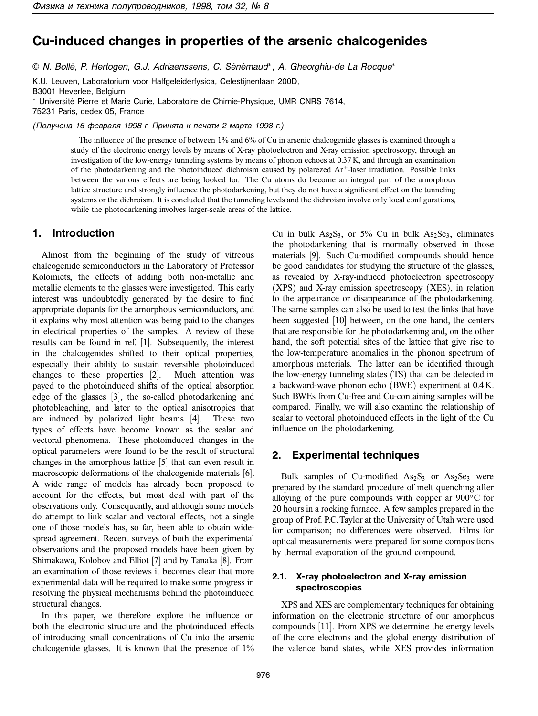# **Cu-induced changes in properties of the arsenic chalcogenides**

© N. Bollé, P. Hertogen, G.J. Adriaenssens, C. Sénémaud\*, A. Gheorghiu-de La Rocque\*

K.U. Leuven, Laboratorium voor Halfgeleiderfysica, Celestijnenlaan 200D, B3001 Heverlee, Belgium <sup>∗</sup> Universite Pierre et Marie Curie, Laboratoire de Chimie-Physique, UMR CNRS 7614, ´ 75231 Paris, cedex 05, France

(Получена 16 февраля 1998 г. Принята к печати 2 марта 1998 г.)

The influence of the presence of between 1% and 6% of Cu in arsenic chalcogenide glasses is examined through a study of the electronic energy levels by means of X-ray photoelectron and X-ray emission spectroscopy, through an investigation of the low-energy tunneling systems by means of phonon echoes at 0.37 K, and through an examination of the photodarkening and the photoinduced dichroism caused by polarezed  $Ar^+$ -laser irradiation. Possible links between the various effects are being looked for. The Cu atoms do become an integral part of the amorphous lattice structure and strongly influence the photodarkening, but they do not have a significant effect on the tunneling systems or the dichroism. It is concluded that the tunneling levels and the dichroism involve only local configurations, while the photodarkening involves larger-scale areas of the lattice.

## **1. Introduction**

Almost from the beginning of the study of vitreous chalcogenide semiconductors in the Laboratory of Professor Kolomiets, the effects of adding both non-metallic and metallic elements to the glasses were investigated. This early interest was undoubtedly generated by the desire to find appropriate dopants for the amorphous semiconductors, and it explains why most attention was being paid to the changes in electrical properties of the samples. A review of these results can be found in ref. [1]. Subsequently, the interest in the chalcogenides shifted to their optical properties, especially their ability to sustain reversible photoinduced changes to these properties [2]. Much attention was payed to the photoinduced shifts of the optical absorption edge of the glasses [3], the so-called photodarkening and photobleaching, and later to the optical anisotropies that are induced by polarized light beams [4]. These two types of effects have become known as the scalar and vectoral phenomena. These photoinduced changes in the optical parameters were found to be the result of structural changes in the amorphous lattice [5] that can even result in macroscopic deformations of the chalcogenide materials [6]. A wide range of models has already been proposed to account for the effects, but most deal with part of the observations only. Consequently, and although some models do attempt to link scalar and vectoral effects, not a single one of those models has, so far, been able to obtain widespread agreement. Recent surveys of both the experimental observations and the proposed models have been given by Shimakawa, Kolobov and Elliot [7] and by Tanaka [8]. From an examination of those reviews it becomes clear that more experimental data will be required to make some progress in resolving the physical mechanisms behind the photoinduced structural changes.

In this paper, we therefore explore the influence on both the electronic structure and the photoinduced effects of introducing small concentrations of Cu into the arsenic chalcogenide glasses. It is known that the presence of 1% Cu in bulk  $As_2S_3$ , or 5% Cu in bulk  $As_2Se_3$ , eliminates the photodarkening that is mormally observed in those materials [9]. Such Cu-modified compounds should hence be good candidates for studying the structure of the glasses, as revealed by X-ray-induced photoelectron spectroscopy (XPS) and X-ray emission spectroscopy (XES), in relation to the appearance or disappearance of the photodarkening. The same samples can also be used to test the links that have been suggested [10] between, on the one hand, the centers that are responsible for the photodarkening and, on the other hand, the soft potential sites of the lattice that give rise to the low-temperature anomalies in the phonon spectrum of amorphous materials. The latter can be identified through the low-energy tunneling states (TS) that can be detected in a backward-wave phonon echo (BWE) experiment at 0.4 K. Such BWEs from Cu-free and Cu-containing samples will be compared. Finally, we will also examine the relationship of scalar to vectoral photoinduced effects in the light of the Cu influence on the photodarkening.

### **2. Experimental techniques**

Bulk samples of Cu-modified  $As_2S_3$  or  $As_2Se_3$  were prepared by the standard procedure of melt quenching after alloying of the pure compounds with copper ar  $900\degree$ C for 20 hours in a rocking furnace. A few samples prepared in the group of Prof. P.C. Taylor at the University of Utah were used for comparison; no differences were observed. Films for optical measurements were prepared for some compositions by thermal evaporation of the ground compound.

### **2.1. X-ray photoelectron and X-ray emission spectroscopies**

XPS and XES are complementary techniques for obtaining information on the electronic structure of our amorphous compounds [11]. From XPS we determine the energy levels of the core electrons and the global energy distribution of the valence band states, while XES provides information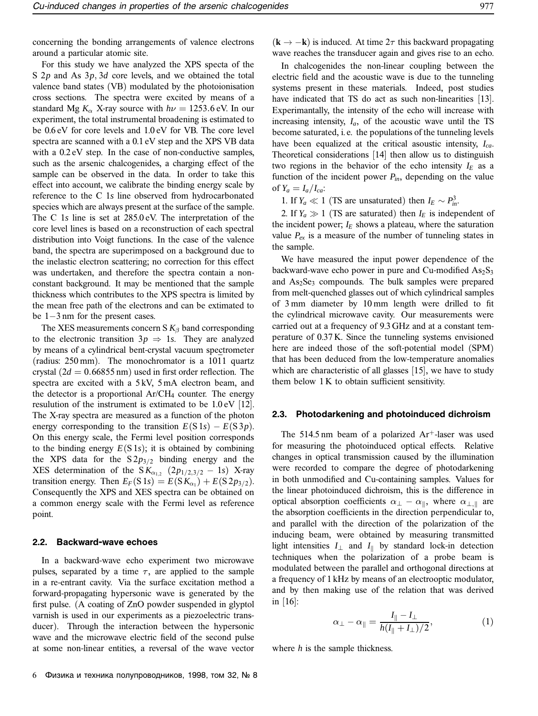concerning the bonding arrangements of valence electrons around a particular atomic site.

For this study we have analyzed the XPS specta of the S 2*p* and As 3*p*, 3*d* core levels, and we obtained the total valence band states (VB) modulated by the photoionisation cross sections. The spectra were excited by means of a standard Mg  $K_{\alpha}$  X-ray source with  $h\nu = 1253.6$  eV. In our experiment, the total instrumental broadening is estimated to be 0.6 eV for core levels and 1.0 eV for VB. The core level spectra are scanned with a 0.1 eV step and the XPS VB data with a  $0.2 \text{ eV}$  step. In the case of non-conductive samples, such as the arsenic chalcogenides, a charging effect of the sample can be observed in the data. In order to take this effect into account, we calibrate the binding energy scale by reference to the C 1*s* line observed from hydrocarbonated species which are always present at the surface of the sample. The C 1*s* line is set at 285.0 eV. The interpretation of the core level lines is based on a reconstruction of each spectral distribution into Voigt functions. In the case of the valence band, the spectra are superimposed on a background due to the inelastic electron scattering; no correction for this effect was undertaken, and therefore the spectra contain a nonconstant background. It may be mentioned that the sample thickness which contributes to the XPS spectra is limited by the mean free path of the electrons and can be extimated to be 1−3 nm for the present cases.

The XES measurements concern S  $K_\beta$  band corresponding to the electronic transition  $3p \Rightarrow 1s$ . They are analyzed by means of a cylindrical bent-crystal vacuum spectrometer (radius:  $250 \text{ mm}$ ). The monochromator is a  $10\overline{1}1$  quartz crystal  $(2d = 0.66855 \text{ nm})$  used in first order reflection. The spectra are excited with a 5 kV, 5 mA electron beam, and the detector is a proportional  $Ar/CH_4$  counter. The energy resulution of the instrument is extimated to be 1.0 eV [12]. The X-ray spectra are measured as a function of the photon energy corresponding to the transition  $E(S 1s) - E(S 3p)$ . On this energy scale, the Fermi level position corresponds to the binding energy  $E(S \, 1s)$ ; it is obtained by combining the XPS data for the  $S2p_{3/2}$  binding energy and the XES determination of the  $SK_{\alpha_{1,2}}(2p_{1/2,3/2} - 1s)$  X-ray transition energy. Then  $E_F(S 1s) = E(S K_{\alpha_1}) + E(S 2p_{3/2})$ . Consequently the XPS and XES spectra can be obtained on a common energy scale with the Fermi level as reference point.

#### **2.2. Backward-wave echoes**

In a backward-wave echo experiment two microwave pulses, separated by a time  $\tau$ , are applied to the sample in a re-entrant cavity. Via the surface excitation method a forward-propagating hypersonic wave is generated by the first pulse. (A coating of ZnO powder suspended in glyptol varnish is used in our experiments as a piezoelectric transducer). Through the interaction between the hypersonic wave and the microwave electric field of the second pulse at some non-linear entities, a reversal of the wave vector

In chalcogenides the non-linear coupling between the electric field and the acoustic wave is due to the tunneling systems present in these materials. Indeed, post studies have indicated that TS do act as such non-linearities [13]. Experimantally, the intensity of the echo will increase with increasing intensity,  $I_a$ , of the acoustic wave until the TS become saturated, i. e. the populations of the tunneling levels have been equalized at the critical asoustic intensity, *Ica*. Theoretical considerations [14] then allow us to distinguish two regions in the behavior of the echo intensity  $I_E$  as a function of the incident power *Pin*, depending on the value of  $Y_a = I_a/I_{ca}$ :

1. If  $Y_a \ll 1$  (TS are unsaturated) then  $I_E \sim P_{in}^3$ .

2. If  $Y_a \gg 1$  (TS are saturated) then  $I_E$  is independent of the incident power;  $I_E$  shows a plateau, where the saturation value  $P_{ex}$  is a measure of the number of tunneling states in the sample.

We have measured the input power dependence of the backward-wave echo power in pure and Cu-modified  $As_2S_3$ and  $As_2Se_3$  compounds. The bulk samples were prepared from melt-quenched glasses out of which cylindrical samples of 3 mm diameter by 10 mm length were drilled to fit the cylindrical microwave cavity. Our measurements were carried out at a frequency of 9.3 GHz and at a constant temperature of 0.37 K. Since the tunneling systems envisioned here are indeed those of the soft-potential model (SPM) that has been deduced from the low-temperature anomalies which are characteristic of all glasses [15], we have to study them below 1 K to obtain sufficient sensitivity.

#### **2.3. Photodarkening and photoinduced dichroism**

The 514.5 nm beam of a polarized  $Ar^+$ -laser was used for measuring the photoinduced optical effects. Relative changes in optical transmission caused by the illumination were recorded to compare the degree of photodarkening in both unmodified and Cu-containing samples. Values for the linear photoinduced dichroism, this is the difference in optical absorption coefficients  $\alpha_{\perp} - \alpha_{\parallel}$ , where  $\alpha_{\perp,\parallel}$  are the absorption coefficients in the direction perpendicular to, and parallel with the direction of the polarization of the inducing beam, were obtained by measuring transmitted light intensities  $I_{\perp}$  and  $I_{\parallel}$  by standard lock-in detection techniques when the polarization of a probe beam is modulated between the parallel and orthogonal directions at a frequency of 1 kHz by means of an electrooptic modulator, and by then making use of the relation that was derived in [16]:

$$
\alpha_{\perp} - \alpha_{\parallel} = \frac{I_{\parallel} - I_{\perp}}{h(I_{\parallel} + I_{\perp})/2},\tag{1}
$$

where *h* is the sample thickness.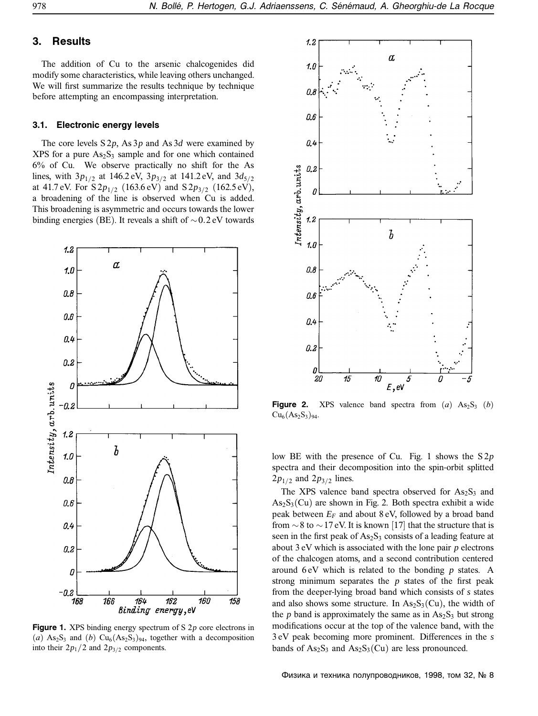### **3. Results**

The addition of Cu to the arsenic chalcogenides did modify some characteristics, while leaving others unchanged. We will first summarize the results technique by technique before attempting an encompassing interpretation.

### **3.1. Electronic energy levels**

The core levels S 2*p*, As 3*p* and As 3*d* were examined by  $XPS$  for a pure  $As<sub>2</sub>S<sub>3</sub>$  sample and for one which contained 6% of Cu. We observe practically no shift for the As lines, with  $3p_{1/2}$  at 146.2 eV,  $3p_{3/2}$  at 141.2 eV, and  $3d_{5/2}$ at 41.7 eV. For  $S2p_{1/2}$  (163.6 eV) and  $S2p_{3/2}$  (162.5 eV), a broadening of the line is observed when Cu is added. This broadening is asymmetric and occurs towards the lower binding energies (BE). It reveals a shift of ∼0.2 eV towards



**Figure 1.** XPS binding energy spectrum of S 2*p* core electrons in (*a*)  $\text{As}_2\text{S}_3$  and (*b*)  $\text{Cu}_6(\text{As}_2\text{S}_3)_{94}$ , together with a decomposition into their  $2p_1/2$  and  $2p_{3/2}$  components.



**Figure 2.** XPS valence band spectra from  $(a)$   $As_2S_3$   $(b)$  $Cu_6(As_2S_3)_{94}.$ 

low BE with the presence of Cu. Fig. 1 shows the S 2*p* spectra and their decomposition into the spin-orbit splitted  $2p_{1/2}$  and  $2p_{3/2}$  lines.

The XPS valence band spectra observed for  $As_2S_3$  and  $As_2S_3(Cu)$  are shown in Fig. 2. Both spectra exhibit a wide peak between  $E_F$  and about  $8 \text{ eV}$ , followed by a broad band from  $\sim$ 8 to  $\sim$  17 eV. It is known [17] that the structure that is seen in the first peak of  $As_2S_3$  consists of a leading feature at about 3 eV which is associated with the lone pair *p* electrons of the chalcogen atoms, and a second contribution centered around 6 eV which is related to the bonding *p* states. A strong minimum separates the *p* states of the first peak from the deeper-lying broad band which consists of *s* states and also shows some structure. In  $\text{As}_2\text{S}_3(\text{Cu})$ , the width of the  $p$  band is approximately the same as in  $As_2S_3$  but strong modifications occur at the top of the valence band, with the 3 eV peak becoming more prominent. Differences in the *s* bands of  $As_2S_3$  and  $As_2S_3(Cu)$  are less pronounced.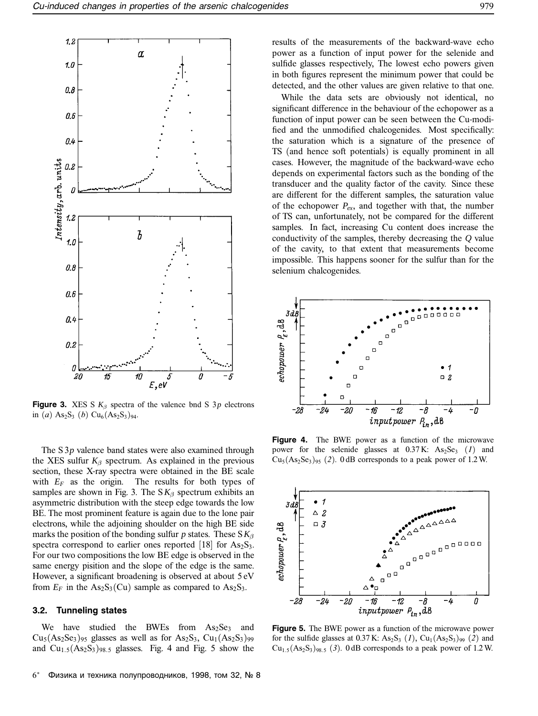

**Figure 3.** XES S  $K_\beta$  spectra of the valence bnd S 3 $p$  electrons in (*a*)  $As_2S_3$  (*b*)  $Cu_6(As_2S_3)_{94}$ .

The S 3*p* valence band states were also examined through the XES sulfur  $K_\beta$  spectrum. As explained in the previous section, these X-ray spectra were obtained in the BE scale with  $E_F$  as the origin. The results for both types of samples are shown in Fig. 3. The  $S K_\beta$  spectrum exhibits an asymmetric distribution with the steep edge towards the low BE. The most prominent feature is again due to the lone pair electrons, while the adjoining shoulder on the high BE side marks the position of the bonding sulfur *p* states. These  $S K_\beta$ spectra correspond to earlier ones reported [18] for  $As_2S_3$ . For our two compositions the low BE edge is observed in the same energy pisition and the slope of the edge is the same. However, a significant broadening is observed at about 5 eV from  $E_F$  in the As<sub>2</sub>S<sub>3</sub>(Cu) sample as compared to As<sub>2</sub>S<sub>3</sub>.

#### **3.2. Tunneling states**

We have studied the BWEs from  $As<sub>2</sub>Se<sub>3</sub>$  and  $Cu<sub>5</sub>(As<sub>2</sub>Se<sub>3</sub>)<sub>95</sub>$  glasses as well as for As<sub>2</sub>S<sub>3</sub>, Cu<sub>1</sub>(As<sub>2</sub>S<sub>3</sub>)<sub>99</sub> and  $Cu<sub>1.5</sub>(As<sub>2</sub>S<sub>3</sub>)<sub>98.5</sub>$  glasses. Fig. 4 and Fig. 5 show the

While the data sets are obviously not identical, no significant difference in the behaviour of the echopower as a function of input power can be seen between the Cu-modified and the unmodified chalcogenides. Most specifically: the saturation which is a signature of the presence of TS (and hence soft potentials) is equally prominent in all cases. However, the magnitude of the backward-wave echo depends on experimental factors such as the bonding of the transducer and the quality factor of the cavity. Since these are different for the different samples, the saturation value of the echopower *Pex*, and together with that, the number of TS can, unfortunately, not be compared for the different samples. In fact, increasing Cu content does increase the conductivity of the samples, thereby decreasing the *Q* value of the cavity, to that extent that measurements become impossible. This happens sooner for the sulfur than for the selenium chalcogenides.



**Figure 4.** The BWE power as a function of the microwave power for the selenide glasses at  $0.37 \text{ K}$ :  $\text{As}_2 \text{Se}_3$  (*1*) and  $Cu<sub>5</sub>(As<sub>2</sub>Se<sub>3</sub>)<sub>95</sub>$  (2). 0 dB corresponds to a peak power of 1.2 W.



**Figure 5.** The BWE power as a function of the microwave power for the sulfide glasses at  $0.37$  K:  $As_2S_3$  (*1*),  $Cu_1(As_2S_3)_{99}$  (*2*) and  $Cu_{1.5}(As_2S_3)_{98.5}$  (3). 0 dB corresponds to a peak power of 1.2 W.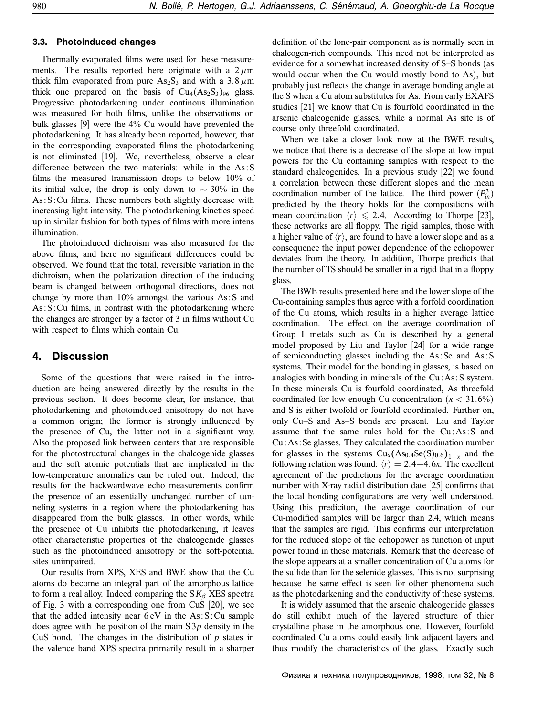### **3.3. Photoinduced changes**

Thermally evaporated films were used for these measurements. The results reported here originate with a  $2 \mu m$ thick film evaporated from pure  $As_2S_3$  and with a 3.8  $\mu$ m thick one prepared on the basis of  $Cu_4(As_2S_3)_{96}$  glass. Progressive photodarkening under continous illumination was measured for both films, unlike the observations on bulk glasses [9] were the 4% Cu would have prevented the photodarkening. It has already been reported, however, that in the corresponding evaporated films the photodarkening is not eliminated [19]. We, nevertheless, observe a clear difference between the two materials: while in the As : S films the measured transmission drops to below 10% of its initial value, the drop is only down to  $\sim$  30% in the  $As: S: Cu$  films. These numbers both slightly decrease with increasing light-intensity. The photodarkening kinetics speed up in similar fashion for both types of films with more intens illumination.

The photoinduced dichroism was also measured for the above films, and here no significant differences could be observed. We found that the total, reversible variation in the dichroism, when the polarization direction of the inducing beam is changed between orthogonal directions, does not change by more than 10% amongst the various As : S and  $As: S: Cu$  films, in contrast with the photodarkening where the changes are stronger by a factor of 3 in films without Cu with respect to films which contain Cu.

### **4. Discussion**

Some of the questions that were raised in the introduction are being answered directly by the results in the previous section. It does become clear, for instance, that photodarkening and photoinduced anisotropy do not have a common origin; the former is strongly influenced by the presence of Cu, the latter not in a significant way. Also the proposed link between centers that are responsible for the photostructural changes in the chalcogenide glasses and the soft atomic potentials that are implicated in the low-temperature anomalies can be ruled out. Indeed, the results for the backwardwave echo measurements confirm the presence of an essentially unchanged number of tunneling systems in a region where the photodarkening has disappeared from the bulk glasses. In other words, while the presence of Cu inhibits the photodarkening, it leaves other characteristic properties of the chalcogenide glasses such as the photoinduced anisotropy or the soft-potential sites unimpaired.

Our results from XPS, XES and BWE show that the Cu atoms do become an integral part of the amorphous lattice to form a real alloy. Indeed comparing the  $S K<sub>β</sub> XES$  spectra of Fig. 3 with a corresponding one from CuS [20], we see that the added intensity near  $6 \text{ eV}$  in the As: S: Cu sample does agree with the position of the main S 3*p* density in the CuS bond. The changes in the distribution of *p* states in the valence band XPS spectra primarily result in a sharper

definition of the lone-pair component as is normally seen in chalcogen-rich compounds. This need not be interpreted as evidence for a somewhat increased density of S–S bonds (as would occur when the Cu would mostly bond to As), but probably just reflects the change in average bonding angle at the S when a Cu atom substitutes for As. From early EXAFS studies [21] we know that Cu is fourfold coordinated in the arsenic chalcogenide glasses, while a normal As site is of course only threefold coordinated.

When we take a closer look now at the BWE results, we notice that there is a decrease of the slope at low input powers for the Cu containing samples with respect to the standard chalcogenides. In a previous study [22] we found a correlation between these different slopes and the mean coordination number of the lattice. The third power  $(P_{in}^3)$ predicted by the theory holds for the compositions with mean coordination  $\langle r \rangle \le 2.4$ . According to Thorpe [23], these networks are all floppy. The rigid samples, those with a higher value of  $\langle r \rangle$ , are found to have a lower slope and as a consequence the input power dependence of the echopower deviates from the theory. In addition, Thorpe predicts that the number of TS should be smaller in a rigid that in a floppy glass.

The BWE results presented here and the lower slope of the Cu-containing samples thus agree with a forfold coordination of the Cu atoms, which results in a higher average lattice coordination. The effect on the average coordination of Group I metals such as Cu is described by a general model proposed by Liu and Taylor [24] for a wide range of semiconducting glasses including the As : Se and As : S systems. Their model for the bonding in glasses, is based on analogies with bonding in minerals of the Cu : As : S system. In these minerals Cu is fourfold coordinated, As threefold coordinated for low enough Cu concentration  $(x < 31.6\%)$ and S is either twofold or fourfold coordinated. Further on, only Cu–S and As–S bonds are present. Liu and Taylor assume that the same rules hold for the Cu: As: S and Cu : As : Se glasses. They calculated the coordination number for glasses in the systems  $Cu_x(As_{0.4}Se(S)_{0.6})_{1-x}$  and the following relation was found:  $\langle r \rangle = 2.4 + 4.6x$ . The excellent agreement of the predictions for the average coordination number with X-ray radial distribution date [25] confirms that the local bonding configurations are very well understood. Using this prediciton, the average coordination of our Cu-modified samples will be larger than 2.4, which means that the samples are rigid. This confirms our interpretation for the reduced slope of the echopower as function of input power found in these materials. Remark that the decrease of the slope appears at a smaller concentration of Cu atoms for the sulfide than for the selenide glasses. This is not surprising because the same effect is seen for other phenomena such as the photodarkening and the conductivity of these systems.

It is widely assumed that the arsenic chalcogenide glasses do still exhibit much of the layered structure of thier crystalline phase in the amorphous one. However, fourfold coordinated Cu atoms could easily link adjacent layers and thus modify the characteristics of the glass. Exactly such